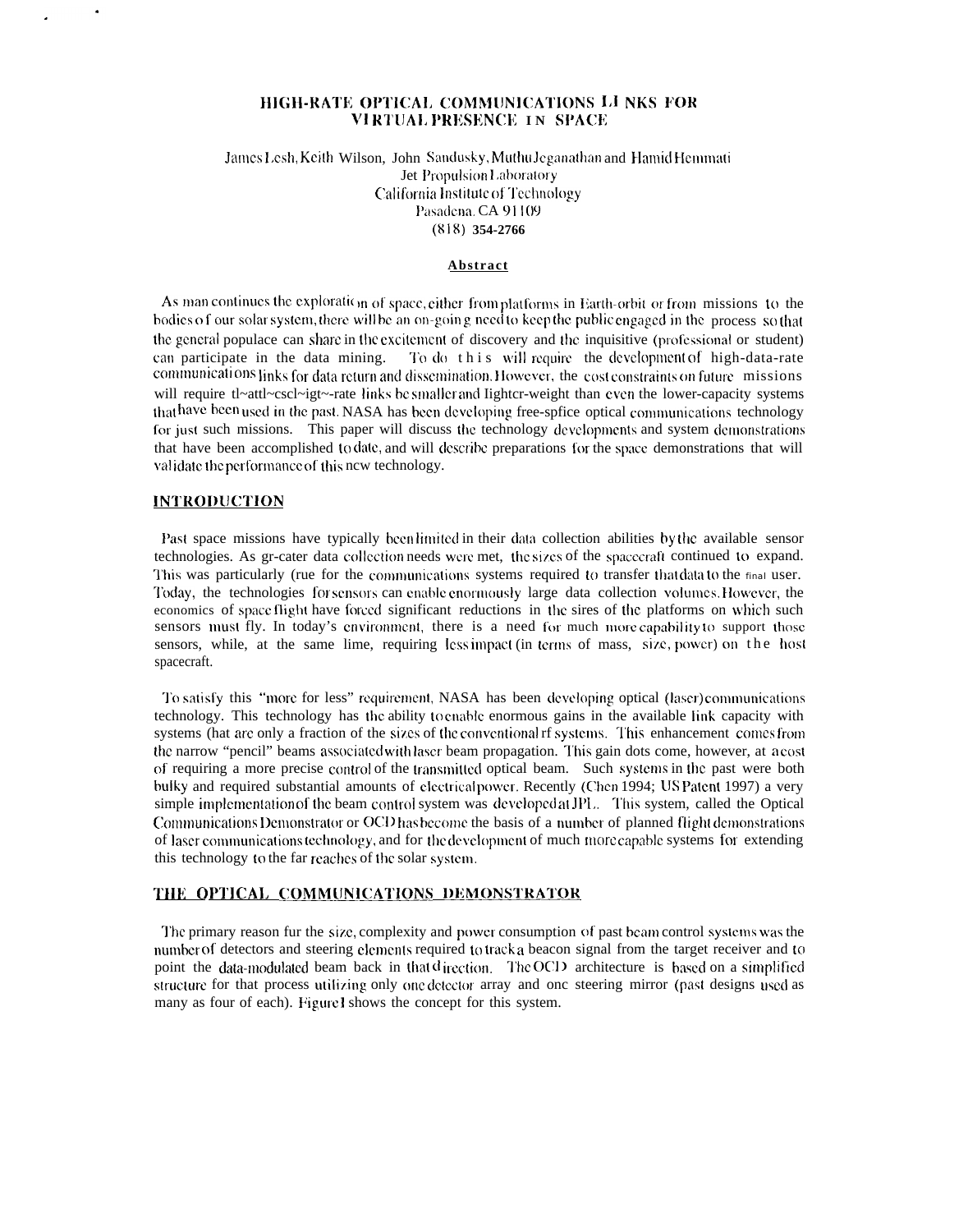## HIGH-RATE OPTICAL COMMUNICATIONS LI NKS FOR VI RTUAL PRESENCE IN SPACE

## James Lesh, Keith Wilson, John Sandusky, Muthu Jeganathan and Hamid Hemmati Jet Propulsion Laboratory California Institute of Technology Pasadena. CA 91109  $(818)$  354-2766

#### Abstract

As man continues the exploration of space, either from platforms in Earth-orbit or from missions to the bodies of our solar system, there will be an on-going need to keep the public engaged in the process so that the general populace can share in the excitement of discovery and the inquisitive (professional or student) can participate in the data mining. To do this will require the development of high-data-rate communications links for data return and dissemination. However, the cost constraints on future missions will require tl~attl~cscl~igt~-rate links be smaller and lighter-weight than even the lower-capacity systems that have been used in the past. NASA has been developing free-spfice optical communications technology for just such missions. This paper will discuss the technology developments and system demonstrations that have been accomplished to date, and will describe preparations for the space demonstrations that will validate the performance of this new technology.

### **INTRODUCTION**

Past space missions have typically been limited in their data collection abilities by the available sensor technologies. As gr-cater data collection needs were met, the sizes of the spacecraft continued to expand. This was particularly (rue for the communications systems required to transfer that data to the final user. Today, the technologies for sensors can enable enormously large data collection volumes. However, the economics of space flight have forced significant reductions in the sires of the platforms on which such sensors must fly. In today's environment, there is a need for much more capability to support those sensors, while, at the same lime, requiring less impact (in terms of mass, size, power) on the host spacecraft.

To satisfy this "more for less" requirement, NASA has been developing optical (laser) communications technology. This technology has the ability to enable enormous gains in the available link capacity with systems (hat are only a fraction of the sizes of the conventional rf systems. This enhancement comes from the narrow "pencil" beams associated with laser beam propagation. This gain dots come, however, at a cost of requiring a more precise control of the transmitted optical beam. Such systems in the past were both bulky and required substantial amounts of electrical power. Recently (Chen 1994; US Patent 1997) a very simple implementation of the beam control system was developed at JPL. This system, called the Optical Communications Demonstrator or OCD has become the basis of a number of planned flight demonstrations of laser communications technology, and for the development of much more capable systems for extending this technology to the far reaches of the solar system.

### THE OPTICAL COMMUNICATIONS DEMONSTRATOR

The primary reason fur the size, complexity and power consumption of past beam control systems was the number of detectors and steering elements required to track a beacon signal from the target receiver and to point the data-modulated beam back in that direction. The OCD architecture is based on a simplified structure for that process utilizing only one detector array and one steering mirror (past designs used as many as four of each). Figure I shows the concept for this system.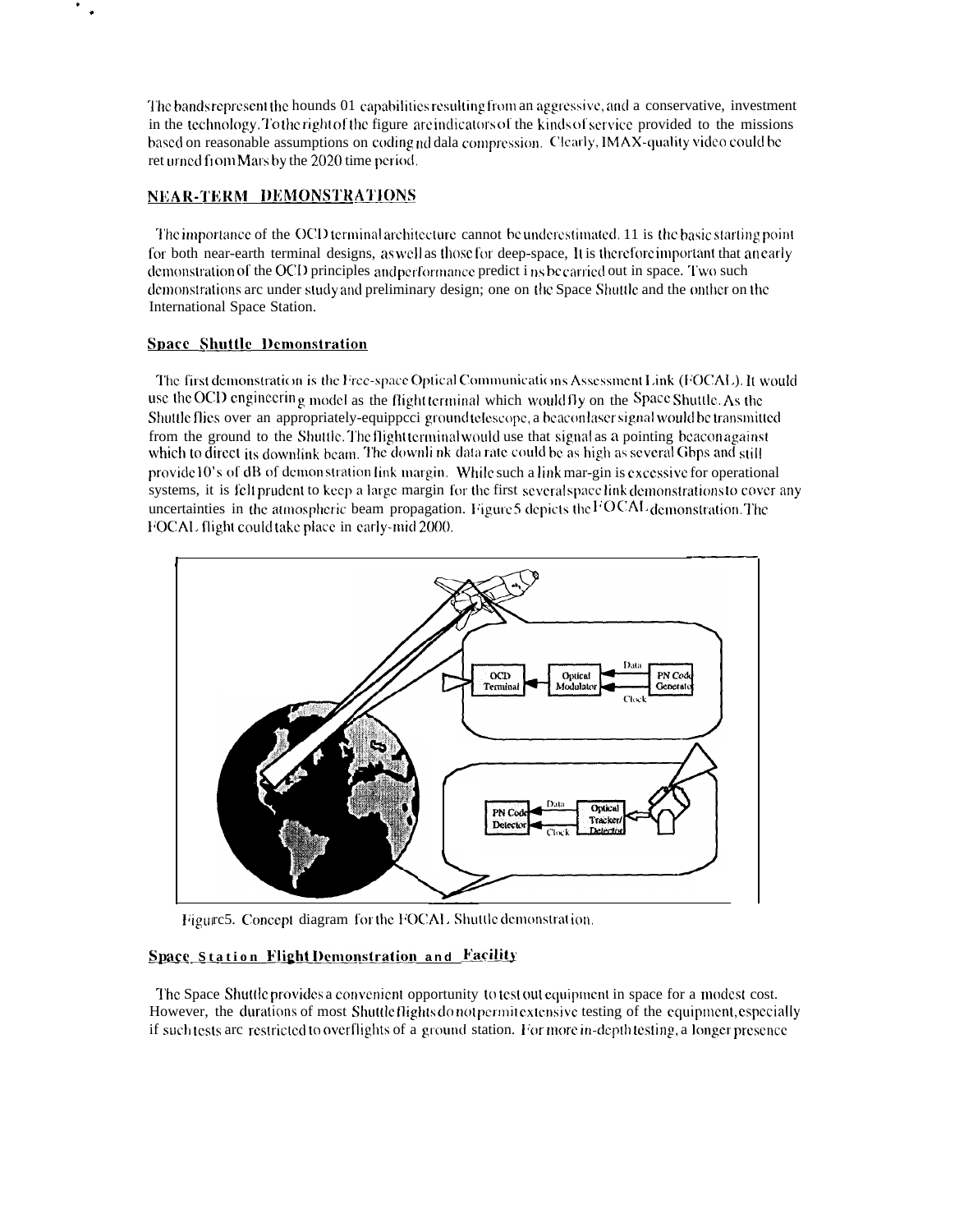The bands represent the hounds 01 capabilities resulting from an aggressive, and a conservative, investment in the technology. To the right of the figure are indicators of the kinds of service provided to the missions based on reasonable assumptions on coding nd dala compression. Clearly, IMAX-quality video could be ret urned from Mars by the 2020 time period.

# **NEAR-TERM DEMONSTRATIONS**

The importance of the OCD terminal architecture cannot be underestimated. 11 is the basic starting point for both near-earth terminal designs, as well as those for deep-space, It is therefore important that an early demonstration of the OCD principles and performance predict i ns be carried out in space. Two such demonstrations arc under study and preliminary design; one on the Space Shuttle and the onther on the International Space Station.

## **Space Shuttle Demonstration**

The first demonstration is the Free-space Optical Communications Assessment Link (FOCAL). It would use the OCD engineering model as the flight terminal which would fly on the Space Shuttle. As the Shuttle flies over an appropriately-equippeci ground telescope, a beaconlaser signal would be transmitted from the ground to the Shuttle. The flight terminal would use that signal as a pointing beacon against which to direct its downlink beam. The downlink data rate could be as high as several Gbps and still provide 10's of dB of demon stration link margin. While such a link mar-gin is excessive for operational systems, it is feltprudent to keep a large margin for the first several spacelink demonstrations to cover any uncertainties in the atmospheric beam propagation. Figure 5 depicts the  $FOCAL$  demonstration. The FOCAL flight could take place in early-mid 2000.



Figure 5. Concept diagram for the FOCAL Shuttle demonstration.

# Space Station Flight Demonstration and Facility

The Space Shuttle provides a convenient opportunity to test out equipment in space for a modest cost. However, the durations of most Shuttle flights do not permit extensive testing of the equipment, especially if such tests are restricted to overflights of a ground station. For more in-depth testing, a longer presence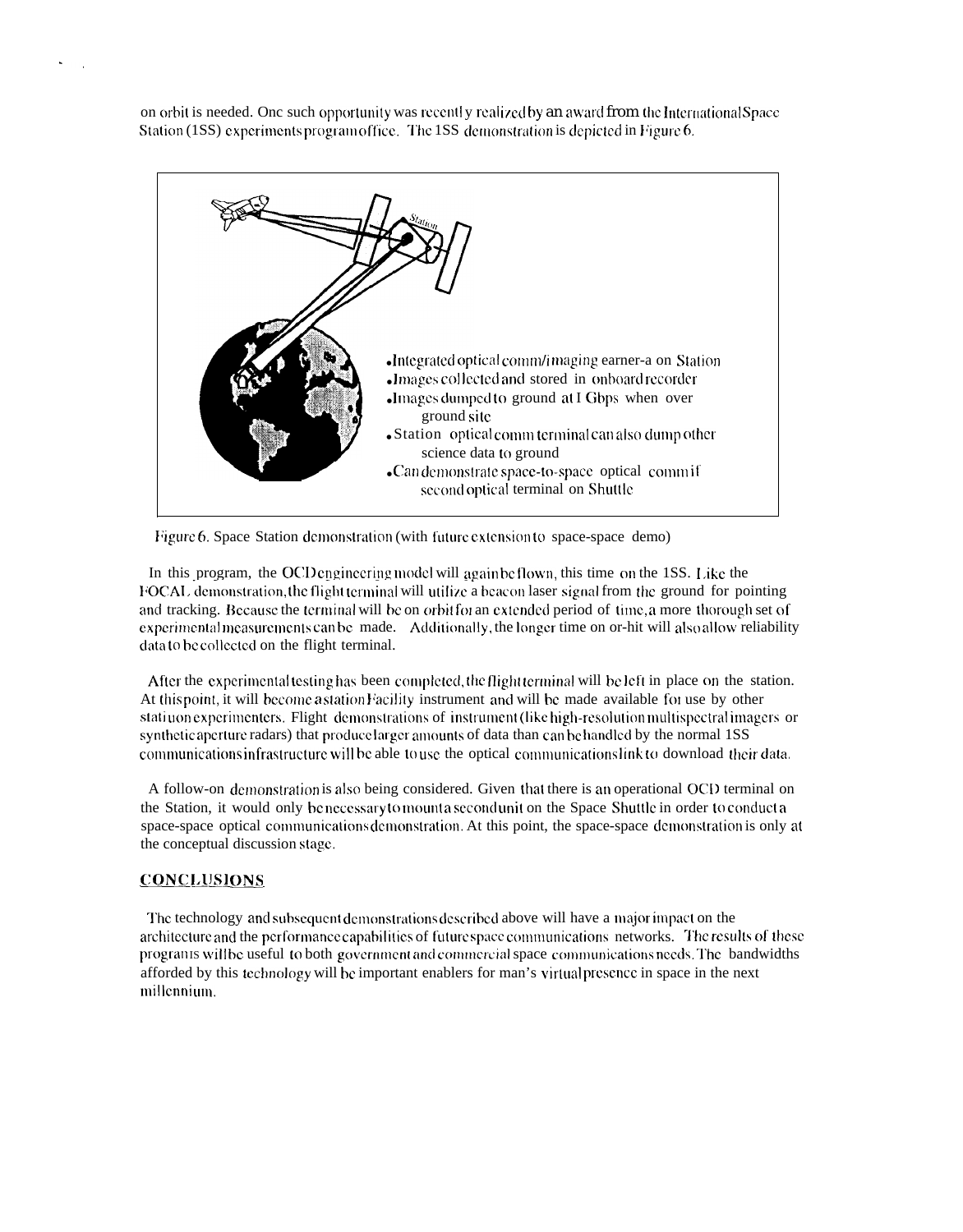on orbit is needed. Onc such opportunity was recently realized by an award from the International Space Station (1SS) experiments program office. The 1SS demonstration is depicted in Figure 6.



Figure 6. Space Station demonstration (with future extension to space-space demo)

In this program, the OCD engineering model will again be flown, this time on the 1SS. Like the FOCAL, demonstration, the flight terminal will utilize a beacon laser signal from the ground for pointing and tracking. Because the terminal will be on orbit for an extended period of time, a more thorough set of experimental measurements can be made. Additionally, the longer time on or-hit will also allow reliability data to be collected on the flight terminal.

After the experimental testing has been completed, the flight terminal will be left in place on the station. At this point, it will become a station Facility instrument and will be made available for use by other statiuon experimenters. Flight demonstrations of instrument (like high-resolution multispectral imagers or synthetic aperture radars) that produce larger amounts of data than can be handled by the normal 1SS communications infrastructure will be able to use the optical communications link to download their data.

A follow-on demonstration is also being considered. Given that there is an operational OCI) terminal on the Station, it would only be necessary to mount a second unit on the Space Shuttle in order to conduct a space-space optical communications demonstration. At this point, the space-space demonstration is only at the conceptual discussion slagc.

### **CONCLUSIONS**

.,

The technology and subsequent demonstrations described above will have a major impact on the architecture and the performance capabilities of future space communications networks. The results of these programs will be useful to both government and commercial space communications needs. The bandwidths afforded by this technology will be important enablers for man's virtual presence in space in the next millennium.